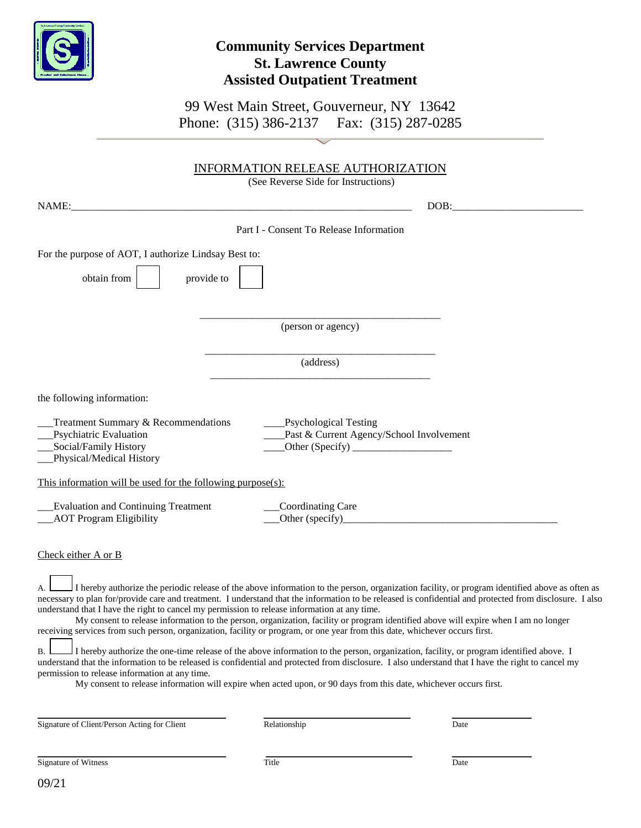

## **Community Services Department St. Lawrence County Assisted Outpatient Treatment**

99 West Main Street, Gouverneur, NY 13642 Phone: (315) 386-2137 Fax: (315) 287-0285

|                                                                                                                                                      | <b>INFORMATION RELEASE AUTHORIZATION</b><br>(See Reverse Side for Instructions)                                                                                                                                                                                                                                                                                                                                                                                                                                                                                                                                                                                                                                                                                                                                                                                                                                                                                                                       |
|------------------------------------------------------------------------------------------------------------------------------------------------------|-------------------------------------------------------------------------------------------------------------------------------------------------------------------------------------------------------------------------------------------------------------------------------------------------------------------------------------------------------------------------------------------------------------------------------------------------------------------------------------------------------------------------------------------------------------------------------------------------------------------------------------------------------------------------------------------------------------------------------------------------------------------------------------------------------------------------------------------------------------------------------------------------------------------------------------------------------------------------------------------------------|
|                                                                                                                                                      |                                                                                                                                                                                                                                                                                                                                                                                                                                                                                                                                                                                                                                                                                                                                                                                                                                                                                                                                                                                                       |
| NAME:                                                                                                                                                | DOB:                                                                                                                                                                                                                                                                                                                                                                                                                                                                                                                                                                                                                                                                                                                                                                                                                                                                                                                                                                                                  |
|                                                                                                                                                      | Part I - Consent To Release Information                                                                                                                                                                                                                                                                                                                                                                                                                                                                                                                                                                                                                                                                                                                                                                                                                                                                                                                                                               |
| For the purpose of AOT, I authorize Lindsay Best to:                                                                                                 |                                                                                                                                                                                                                                                                                                                                                                                                                                                                                                                                                                                                                                                                                                                                                                                                                                                                                                                                                                                                       |
| obtain from<br>provide to                                                                                                                            |                                                                                                                                                                                                                                                                                                                                                                                                                                                                                                                                                                                                                                                                                                                                                                                                                                                                                                                                                                                                       |
|                                                                                                                                                      | (person or agency)                                                                                                                                                                                                                                                                                                                                                                                                                                                                                                                                                                                                                                                                                                                                                                                                                                                                                                                                                                                    |
|                                                                                                                                                      | (address)                                                                                                                                                                                                                                                                                                                                                                                                                                                                                                                                                                                                                                                                                                                                                                                                                                                                                                                                                                                             |
| the following information:                                                                                                                           |                                                                                                                                                                                                                                                                                                                                                                                                                                                                                                                                                                                                                                                                                                                                                                                                                                                                                                                                                                                                       |
| Treatment Summary & Recommendations<br>Psychiatric Evaluation<br>Social/Family History<br>Physical/Medical History                                   | ___Psychological Testing<br>Past & Current Agency/School Involvement                                                                                                                                                                                                                                                                                                                                                                                                                                                                                                                                                                                                                                                                                                                                                                                                                                                                                                                                  |
| This information will be used for the following purpose(s):                                                                                          |                                                                                                                                                                                                                                                                                                                                                                                                                                                                                                                                                                                                                                                                                                                                                                                                                                                                                                                                                                                                       |
| <b>Evaluation and Continuing Treatment</b><br><b>AOT Program Eligibility</b>                                                                         | Coordinating Care<br>Other (specify)                                                                                                                                                                                                                                                                                                                                                                                                                                                                                                                                                                                                                                                                                                                                                                                                                                                                                                                                                                  |
| Check either A or B                                                                                                                                  |                                                                                                                                                                                                                                                                                                                                                                                                                                                                                                                                                                                                                                                                                                                                                                                                                                                                                                                                                                                                       |
| understand that I have the right to cancel my permission to release information at any time.<br>В.<br>permission to release information at any time. | I hereby authorize the periodic release of the above information to the person, organization facility, or program identified above as often as<br>necessary to plan for/provide care and treatment. I understand that the information to be released is confidential and protected from disclosure. I also<br>My consent to release information to the person, organization, facility or program identified above will expire when I am no longer<br>receiving services from such person, organization, facility or program, or one year from this date, whichever occurs first.<br>I hereby authorize the one-time release of the above information to the person, organization, facility, or program identified above. I<br>understand that the information to be released is confidential and protected from disclosure. I also understand that I have the right to cancel my<br>My consent to release information will expire when acted upon, or 90 days from this date, whichever occurs first. |

Signature of Client/Person Acting for Client Relationship Date

 $\_$  , and the set of the set of the set of the set of the set of the set of the set of the set of the set of the set of the set of the set of the set of the set of the set of the set of the set of the set of the set of th

09/21